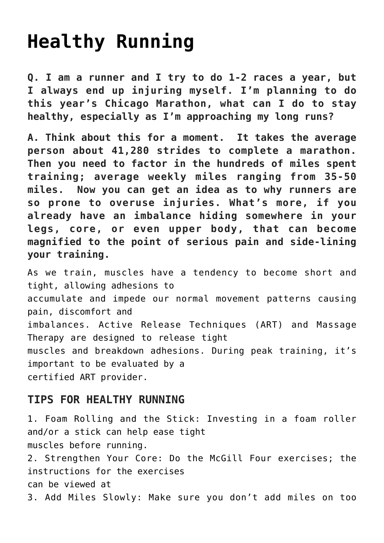## **[Healthy Running](https://chicagochirosports.com/2013/01/healthy-running/)**

**Q. I am a runner and I try to do 1-2 races a year, but I always end up injuring myself. I'm planning to do this year's Chicago Marathon, what can I do to stay healthy, especially as I'm approaching my long runs?**

**A. Think about this for a moment. It takes the average person about 41,280 strides to complete a marathon. Then you need to factor in the hundreds of miles spent training; average weekly miles ranging from 35-50 miles. Now you can get an idea as to why runners are so prone to overuse injuries. What's more, if you already have an imbalance hiding somewhere in your legs, core, or even upper body, that can become magnified to the point of serious pain and side-lining your training.**

As we train, muscles have a tendency to become short and tight, allowing adhesions to accumulate and impede our normal movement patterns causing pain, discomfort and imbalances. Active Release Techniques (ART) and Massage Therapy are designed to release tight muscles and breakdown adhesions. During peak training, it's important to be evaluated by a certified ART provider.

## **TIPS FOR HEALTHY RUNNING**

1. Foam Rolling and the Stick: Investing in a foam roller and/or a stick can help ease tight muscles before running. 2. Strengthen Your Core: Do the McGill Four exercises; the instructions for the exercises can be viewed at 3. Add Miles Slowly: Make sure you don't add miles on too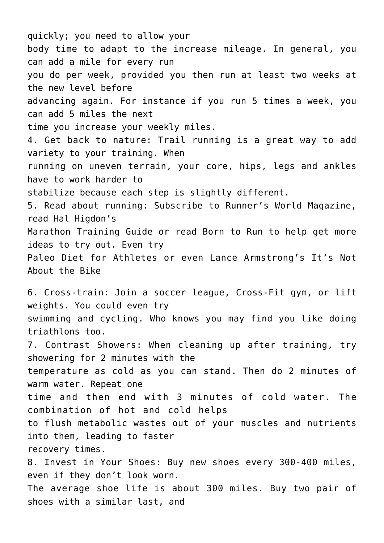quickly; you need to allow your body time to adapt to the increase mileage. In general, you can add a mile for every run you do per week, provided you then run at least two weeks at the new level before advancing again. For instance if you run 5 times a week, you can add 5 miles the next time you increase your weekly miles. 4. Get back to nature: Trail running is a great way to add variety to your training. When running on uneven terrain, your core, hips, legs and ankles have to work harder to stabilize because each step is slightly different. 5. Read about running: Subscribe to Runner's World Magazine, read Hal Higdon's Marathon Training Guide or read Born to Run to help get more ideas to try out. Even try Paleo Diet for Athletes or even Lance Armstrong's It's Not About the Bike 6. Cross-train: Join a soccer league, Cross-Fit gym, or lift weights. You could even try swimming and cycling. Who knows you may find you like doing triathlons too. 7. Contrast Showers: When cleaning up after training, try showering for 2 minutes with the temperature as cold as you can stand. Then do 2 minutes of warm water. Repeat one time and then end with 3 minutes of cold water. The combination of hot and cold helps to flush metabolic wastes out of your muscles and nutrients into them, leading to faster recovery times. 8. Invest in Your Shoes: Buy new shoes every 300-400 miles, even if they don't look worn. The average shoe life is about 300 miles. Buy two pair of shoes with a similar last, and